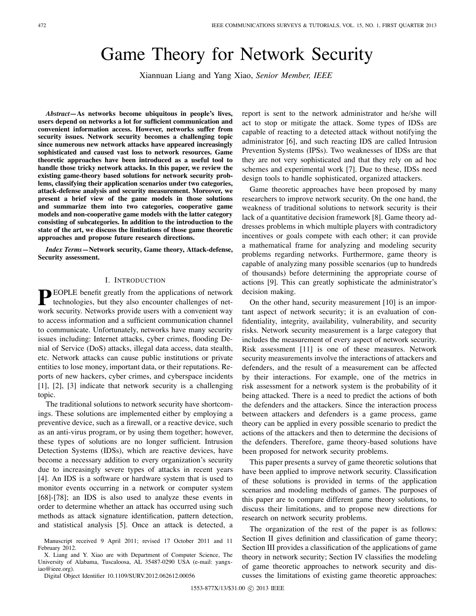# Game Theory for Network Security

Xiannuan Liang and Yang Xiao, *Senior Member, IEEE*

*Abstract***—As networks become ubiquitous in people's lives, users depend on networks a lot for sufficient communication and convenient information access. However, networks suffer from security issues. Network security becomes a challenging topic since numerous new network attacks have appeared increasingly sophisticated and caused vast loss to network resources. Game theoretic approaches have been introduced as a useful tool to handle those tricky network attacks. In this paper, we review the existing game-theory based solutions for network security problems, classifying their application scenarios under two categories, attack-defense analysis and security measurement. Moreover, we present a brief view of the game models in those solutions and summarize them into two categories, cooperative game models and non-cooperative game models with the latter category consisting of subcategories. In addition to the introduction to the state of the art, we discuss the limitations of those game theoretic approaches and propose future research directions.**

*Index Terms***—Network security, Game theory, Attack-defense, Security assessment.**

#### I. INTRODUCTION

**PEOPLE** benefit greatly from the applications of network technologies, but they also encounter challenges of network security. Networks provide users with a convenient way to access information and a sufficient communication channel to communicate. Unfortunately, networks have many security issues including: Internet attacks, cyber crimes, flooding Denial of Service (DoS) attacks, illegal data access, data stealth, etc. Network attacks can cause public institutions or private entities to lose money, important data, or their reputations. Reports of new hackers, cyber crimes, and cyberspace incidents [1], [2], [3] indicate that network security is a challenging topic.

The traditional solutions to network security have shortcomings. These solutions are implemented either by employing a preventive device, such as a firewall, or a reactive device, such as an anti-virus program, or by using them together; however, these types of solutions are no longer sufficient. Intrusion Detection Systems (IDSs), which are reactive devices, have become a necessary addition to every organization's security due to increasingly severe types of attacks in recent years [4]. An IDS is a software or hardware system that is used to monitor events occurring in a network or computer system [68]-[78]; an IDS is also used to analyze these events in order to determine whether an attack has occurred using such methods as attack signature identification, pattern detection, and statistical analysis [5]. Once an attack is detected, a

Manuscript received 9 April 2011; revised 17 October 2011 and 11 February 2012.

X. Liang and Y. Xiao are with Department of Computer Science, The University of Alabama, Tuscaloosa, AL 35487-0290 USA (e-mail: yangxiao@ieee.org).

Digital Object Identifier 10.1109/SURV.2012.062612.00056

report is sent to the network administrator and he/she will act to stop or mitigate the attack. Some types of IDSs are capable of reacting to a detected attack without notifying the administrator [6], and such reacting IDS are called Intrusion Prevention Systems (IPSs). Two weaknesses of IDSs are that they are not very sophisticated and that they rely on ad hoc schemes and experimental work [7]. Due to these, IDSs need design tools to handle sophisticated, organized attackers.

Game theoretic approaches have been proposed by many researchers to improve network security. On the one hand, the weakness of traditional solutions to network security is their lack of a quantitative decision framework [8]. Game theory addresses problems in which multiple players with contradictory incentives or goals compete with each other; it can provide a mathematical frame for analyzing and modeling security problems regarding networks. Furthermore, game theory is capable of analyzing many possible scenarios (up to hundreds of thousands) before determining the appropriate course of actions [9]. This can greatly sophisticate the administrator's decision making.

On the other hand, security measurement [10] is an important aspect of network security; it is an evaluation of confidentiality, integrity, availability, vulnerability, and security risks. Network security measurement is a large category that includes the measurement of every aspect of network security. Risk assessment [11] is one of these measures. Network security measurements involve the interactions of attackers and defenders, and the result of a measurement can be affected by their interactions. For example, one of the metrics in risk assessment for a network system is the probability of it being attacked. There is a need to predict the actions of both the defenders and the attackers. Since the interaction process between attackers and defenders is a game process, game theory can be applied in every possible scenario to predict the actions of the attackers and then to determine the decisions of the defenders. Therefore, game theory-based solutions have been proposed for network security problems.

This paper presents a survey of game theoretic solutions that have been applied to improve network security. Classification of these solutions is provided in terms of the application scenarios and modeling methods of games. The purposes of this paper are to compare different game theory solutions, to discuss their limitations, and to propose new directions for research on network security problems.

The organization of the rest of the paper is as follows: Section II gives definition and classification of game theory; Section III provides a classification of the applications of game theory in network security; Section IV classifies the modeling of game theoretic approaches to network security and discusses the limitations of existing game theoretic approaches: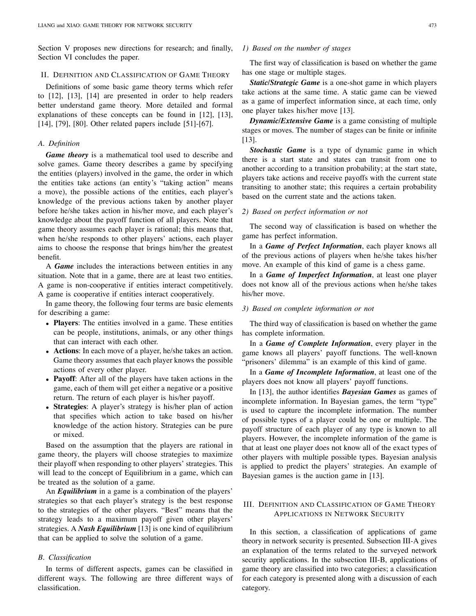Section V proposes new directions for research; and finally, Section VI concludes the paper.

# II. DEFINITION AND CLASSIFICATION OF GAME THEORY

Definitions of some basic game theory terms which refer to [12], [13], [14] are presented in order to help readers better understand game theory. More detailed and formal explanations of these concepts can be found in [12], [13], [14], [79], [80]. Other related papers include [51]-[67].

# *A. Definition*

*Game theory* is a mathematical tool used to describe and solve games. Game theory describes a game by specifying the entities (players) involved in the game, the order in which the entities take actions (an entity's "taking action" means a move), the possible actions of the entities, each player's knowledge of the previous actions taken by another player before he/she takes action in his/her move, and each player's knowledge about the payoff function of all players. Note that game theory assumes each player is rational; this means that, when he/she responds to other players' actions, each player aims to choose the response that brings him/her the greatest benefit.

A *Game* includes the interactions between entities in any situation. Note that in a game, there are at least two entities. A game is non-cooperative if entities interact competitively. A game is cooperative if entities interact cooperatively.

In game theory, the following four terms are basic elements for describing a game:

- **Players**: The entities involved in a game. These entities can be people, institutions, animals, or any other things that can interact with each other.
- **Actions**: In each move of a player, he/she takes an action. Game theory assumes that each player knows the possible actions of every other player.
- **Payoff**: After all of the players have taken actions in the game, each of them will get either a negative or a positive return. The return of each player is his/her payoff.
- **Strategies**: A player's strategy is his/her plan of action that specifies which action to take based on his/her knowledge of the action history. Strategies can be pure or mixed.

Based on the assumption that the players are rational in game theory, the players will choose strategies to maximize their playoff when responding to other players' strategies. This will lead to the concept of Equilibrium in a game, which can be treated as the solution of a game.

An *Equilibrium* in a game is a combination of the players' strategies so that each player's strategy is the best response to the strategies of the other players. "Best" means that the strategy leads to a maximum payoff given other players' strategies. A *Nash Equilibrium* [13] is one kind of equilibrium that can be applied to solve the solution of a game.

#### *B. Classification*

In terms of different aspects, games can be classified in different ways. The following are three different ways of classification.

# *1) Based on the number of stages*

The first way of classification is based on whether the game has one stage or multiple stages.

*Static/Strategic Game* is a one-shot game in which players take actions at the same time. A static game can be viewed as a game of imperfect information since, at each time, only one player takes his/her move [13].

*Dynamic/Extensive Game* is a game consisting of multiple stages or moves. The number of stages can be finite or infinite [13].

*Stochastic Game* is a type of dynamic game in which there is a start state and states can transit from one to another according to a transition probability; at the start state, players take actions and receive payoffs with the current state transiting to another state; this requires a certain probability based on the current state and the actions taken.

# *2) Based on perfect information or not*

The second way of classification is based on whether the game has perfect information.

In a *Game of Perfect Information*, each player knows all of the previous actions of players when he/she takes his/her move. An example of this kind of game is a chess game.

In a *Game of Imperfect Information*, at least one player does not know all of the previous actions when he/she takes his/her move.

# *3) Based on complete information or not*

The third way of classification is based on whether the game has complete information.

In a *Game of Complete Information*, every player in the game knows all players' payoff functions. The well-known "prisoners' dilemma" is an example of this kind of game.

In a *Game of Incomplete Information*, at least one of the players does not know all players' payoff functions.

In [13], the author identifies *Bayesian Games* as games of incomplete information. In Bayesian games, the term "type" is used to capture the incomplete information. The number of possible types of a player could be one or multiple. The payoff structure of each player of any type is known to all players. However, the incomplete information of the game is that at least one player does not know all of the exact types of other players with multiple possible types. Bayesian analysis is applied to predict the players' strategies. An example of Bayesian games is the auction game in [13].

# III. DEFINITION AND CLASSIFICATION OF GAME THEORY APPLICATIONS IN NETWORK SECURITY

In this section, a classification of applications of game theory in network security is presented. Subsection III-A gives an explanation of the terms related to the surveyed network security applications. In the subsection III-B, applications of game theory are classified into two categories; a classification for each category is presented along with a discussion of each category.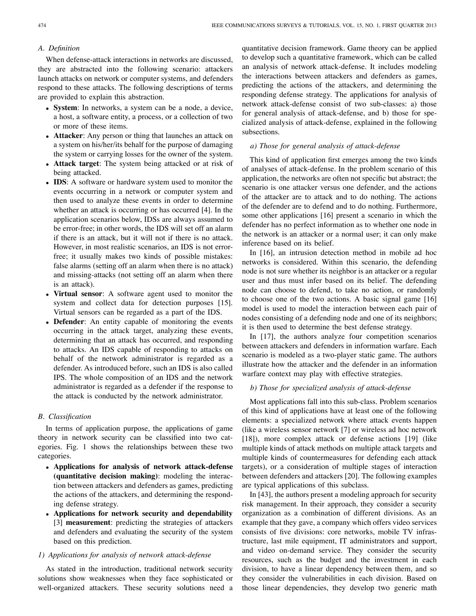# *A. Definition*

When defense-attack interactions in networks are discussed, they are abstracted into the following scenario: attackers launch attacks on network or computer systems, and defenders respond to these attacks. The following descriptions of terms are provided to explain this abstraction.

- **System**: In networks, a system can be a node, a device, a host, a software entity, a process, or a collection of two or more of these items.
- **Attacker**: Any person or thing that launches an attack on a system on his/her/its behalf for the purpose of damaging the system or carrying losses for the owner of the system.
- **Attack target**: The system being attacked or at risk of being attacked.
- **IDS**: A software or hardware system used to monitor the events occurring in a network or computer system and then used to analyze these events in order to determine whether an attack is occurring or has occurred [4]. In the application scenarios below, IDSs are always assumed to be error-free; in other words, the IDS will set off an alarm if there is an attack, but it will not if there is no attack. However, in most realistic scenarios, an IDS is not errorfree; it usually makes two kinds of possible mistakes: false alarms (setting off an alarm when there is no attack) and missing-attacks (not setting off an alarm when there is an attack).
- **Virtual sensor**: A software agent used to monitor the system and collect data for detection purposes [15]. Virtual sensors can be regarded as a part of the IDS.
- **Defender**: An entity capable of monitoring the events occurring in the attack target, analyzing these events, determining that an attack has occurred, and responding to attacks. An IDS capable of responding to attacks on behalf of the network administrator is regarded as a defender. As introduced before, such an IDS is also called IPS. The whole composition of an IDS and the network administrator is regarded as a defender if the response to the attack is conducted by the network administrator.

#### *B. Classification*

In terms of application purpose, the applications of game theory in network security can be classified into two categories. Fig. 1 shows the relationships between these two categories.

- **Applications for analysis of network attack-defense (quantitative decision making)**: modeling the interaction between attackers and defenders as games, predicting the actions of the attackers, and determining the responding defense strategy.
- **Applications for network security and dependability** [3] **measurement**: predicting the strategies of attackers and defenders and evaluating the security of the system based on this prediction.

# *1) Applications for analysis of network attack-defense*

As stated in the introduction, traditional network security solutions show weaknesses when they face sophisticated or well-organized attackers. These security solutions need a quantitative decision framework. Game theory can be applied to develop such a quantitative framework, which can be called an analysis of network attack-defense. It includes modeling the interactions between attackers and defenders as games, predicting the actions of the attackers, and determining the responding defense strategy. The applications for analysis of network attack-defense consist of two sub-classes: a) those for general analysis of attack-defense, and b) those for specialized analysis of attack-defense, explained in the following subsections.

# *a) Those for general analysis of attack-defense*

This kind of application first emerges among the two kinds of analyses of attack-defense. In the problem scenario of this application, the networks are often not specific but abstract; the scenario is one attacker versus one defender, and the actions of the attacker are to attack and to do nothing. The actions of the defender are to defend and to do nothing. Furthermore, some other applications [16] present a scenario in which the defender has no perfect information as to whether one node in the network is an attacker or a normal user; it can only make inference based on its belief.

In [16], an intrusion detection method in mobile ad hoc networks is considered. Within this scenario, the defending node is not sure whether its neighbor is an attacker or a regular user and thus must infer based on its belief. The defending node can choose to defend, to take no action, or randomly to choose one of the two actions. A basic signal game [16] model is used to model the interaction between each pair of nodes consisting of a defending node and one of its neighbors; it is then used to determine the best defense strategy.

In [17], the authors analyze four competition scenarios between attackers and defenders in information warfare. Each scenario is modeled as a two-player static game. The authors illustrate how the attacker and the defender in an information warfare context may play with effective strategies.

# *b) Those for specialized analysis of attack-defense*

Most applications fall into this sub-class. Problem scenarios of this kind of applications have at least one of the following elements: a specialized network where attack events happen (like a wireless sensor network [7] or wireless ad hoc network [18]), more complex attack or defense actions [19] (like multiple kinds of attack methods on multiple attack targets and multiple kinds of countermeasures for defending each attack targets), or a consideration of multiple stages of interaction between defenders and attackers [20]. The following examples are typical applications of this subclass.

In [43], the authors present a modeling approach for security risk management. In their approach, they consider a security organization as a combination of different divisions. As an example that they gave, a company which offers video services consists of five divisions: core networks, mobile TV infrastructure, last mile equipment, IT administrators and support, and video on-demand service. They consider the security resources, such as the budget and the investment in each division, to have a linear dependency between them, and so they consider the vulnerabilities in each division. Based on those linear dependencies, they develop two generic math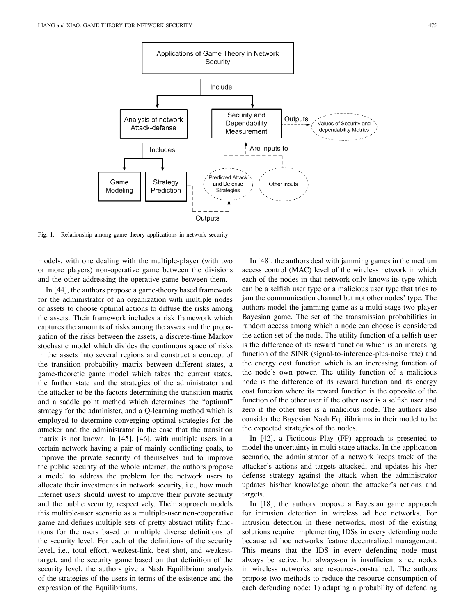

Fig. 1. Relationship among game theory applications in network security

models, with one dealing with the multiple-player (with two or more players) non-operative game between the divisions and the other addressing the operative game between them.

In [44], the authors propose a game-theory based framework for the administrator of an organization with multiple nodes or assets to choose optimal actions to diffuse the risks among the assets. Their framework includes a risk framework which captures the amounts of risks among the assets and the propagation of the risks between the assets, a discrete-time Markov stochastic model which divides the continuous space of risks in the assets into several regions and construct a concept of the transition probability matrix between different states, a game-theoretic game model which takes the current states, the further state and the strategies of the administrator and the attacker to be the factors determining the transition matrix and a saddle point method which determines the "optimal" strategy for the administer, and a Q-learning method which is employed to determine converging optimal strategies for the attacker and the administrator in the case that the transition matrix is not known. In [45], [46], with multiple users in a certain network having a pair of mainly conflicting goals, to improve the private security of themselves and to improve the public security of the whole internet, the authors propose a model to address the problem for the network users to allocate their investments in network security, i.e., how much internet users should invest to improve their private security and the public security, respectively. Their approach models this multiple-user scenario as a multiple-user non-cooperative game and defines multiple sets of pretty abstract utility functions for the users based on multiple diverse definitions of the security level. For each of the definitions of the security level, i.e., total effort, weakest-link, best shot, and weakesttarget, and the security game based on that definition of the security level, the authors give a Nash Equilibrium analysis of the strategies of the users in terms of the existence and the expression of the Equilibriums.

In [48], the authors deal with jamming games in the medium access control (MAC) level of the wireless network in which each of the nodes in that network only knows its type which can be a selfish user type or a malicious user type that tries to jam the communication channel but not other nodes' type. The authors model the jamming game as a multi-stage two-player Bayesian game. The set of the transmission probabilities in random access among which a node can choose is considered the action set of the node. The utility function of a selfish user is the difference of its reward function which is an increasing function of the SINR (signal-to-inference-plus-noise rate) and the energy cost function which is an increasing function of the node's own power. The utility function of a malicious node is the difference of its reward function and its energy cost function where its reward function is the opposite of the function of the other user if the other user is a selfish user and zero if the other user is a malicious node. The authors also consider the Bayesian Nash Equilibriums in their model to be the expected strategies of the nodes.

In [42], a Fictitious Play (FP) approach is presented to model the uncertainty in multi-stage attacks. In the application scenario, the administrator of a network keeps track of the attacker's actions and targets attacked, and updates his /her defense strategy against the attack when the administrator updates his/her knowledge about the attacker's actions and targets.

In [18], the authors propose a Bayesian game approach for intrusion detection in wireless ad hoc networks. For intrusion detection in these networks, most of the existing solutions require implementing IDSs in every defending node because ad hoc networks feature decentralized management. This means that the IDS in every defending node must always be active, but always-on is insufficient since nodes in wireless networks are resource-constrained. The authors propose two methods to reduce the resource consumption of each defending node: 1) adapting a probability of defending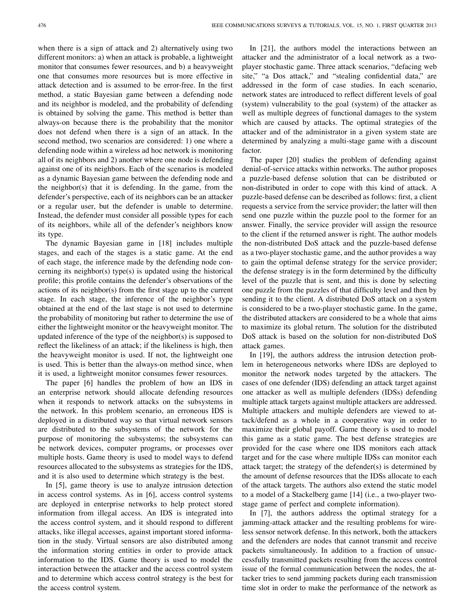when there is a sign of attack and 2) alternatively using two different monitors: a) when an attack is probable, a lightweight monitor that consumes fewer resources, and b) a heavyweight one that consumes more resources but is more effective in attack detection and is assumed to be error-free. In the first method, a static Bayesian game between a defending node and its neighbor is modeled, and the probability of defending is obtained by solving the game. This method is better than always-on because there is the probability that the monitor does not defend when there is a sign of an attack. In the second method, two scenarios are considered: 1) one where a defending node within a wireless ad hoc network is monitoring all of its neighbors and 2) another where one node is defending against one of its neighbors. Each of the scenarios is modeled as a dynamic Bayesian game between the defending node and the neighbor(s) that it is defending. In the game, from the defender's perspective, each of its neighbors can be an attacker or a regular user, but the defender is unable to determine. Instead, the defender must consider all possible types for each of its neighbors, while all of the defender's neighbors know its type.

The dynamic Bayesian game in [18] includes multiple stages, and each of the stages is a static game. At the end of each stage, the inference made by the defending node concerning its neighbor(s) type(s) is updated using the historical profile; this profile contains the defender's observations of the actions of its neighbor(s) from the first stage up to the current stage. In each stage, the inference of the neighbor's type obtained at the end of the last stage is not used to determine the probability of monitoring but rather to determine the use of either the lightweight monitor or the heavyweight monitor. The updated inference of the type of the neighbor(s) is supposed to reflect the likeliness of an attack; if the likeliness is high, then the heavyweight monitor is used. If not, the lightweight one is used. This is better than the always-on method since, when it is used, a lightweight monitor consumes fewer resources.

The paper [6] handles the problem of how an IDS in an enterprise network should allocate defending resources when it responds to network attacks on the subsystems in the network. In this problem scenario, an erroneous IDS is deployed in a distributed way so that virtual network sensors are distributed to the subsystems of the network for the purpose of monitoring the subsystems; the subsystems can be network devices, computer programs, or processes over multiple hosts. Game theory is used to model ways to defend resources allocated to the subsystems as strategies for the IDS, and it is also used to determine which strategy is the best.

In [5], game theory is use to analyze intrusion detection in access control systems. As in [6], access control systems are deployed in enterprise networks to help protect stored information from illegal access. An IDS is integrated into the access control system, and it should respond to different attacks, like illegal accesses, against important stored information in the study. Virtual sensors are also distributed among the information storing entities in order to provide attack information to the IDS. Game theory is used to model the interaction between the attacker and the access control system and to determine which access control strategy is the best for the access control system.

In [21], the authors model the interactions between an attacker and the administrator of a local network as a twoplayer stochastic game. Three attack scenarios, "defacing web site," "a Dos attack," and "stealing confidential data," are addressed in the form of case studies. In each scenario, network states are introduced to reflect different levels of goal (system) vulnerability to the goal (system) of the attacker as well as multiple degrees of functional damages to the system which are caused by attacks. The optimal strategies of the attacker and of the administrator in a given system state are determined by analyzing a multi-stage game with a discount factor.

The paper [20] studies the problem of defending against denial-of-service attacks within networks. The author proposes a puzzle-based defense solution that can be distributed or non-distributed in order to cope with this kind of attack. A puzzle-based defense can be described as follows: first, a client requests a service from the service provider; the latter will then send one puzzle within the puzzle pool to the former for an answer. Finally, the service provider will assign the resource to the client if the returned answer is right. The author models the non-distributed DoS attack and the puzzle-based defense as a two-player stochastic game, and the author provides a way to gain the optimal defense strategy for the service provider; the defense strategy is in the form determined by the difficulty level of the puzzle that is sent, and this is done by selecting one puzzle from the puzzles of that difficulty level and then by sending it to the client. A distributed DoS attack on a system is considered to be a two-player stochastic game. In the game, the distributed attackers are considered to be a whole that aims to maximize its global return. The solution for the distributed DoS attack is based on the solution for non-distributed DoS attack games.

In [19], the authors address the intrusion detection problem in heterogeneous networks where IDSs are deployed to monitor the network nodes targeted by the attackers. The cases of one defender (IDS) defending an attack target against one attacker as well as multiple defenders (IDSs) defending multiple attack targets against multiple attackers are addressed. Multiple attackers and multiple defenders are viewed to attack/defend as a whole in a cooperative way in order to maximize their global payoff. Game theory is used to model this game as a static game. The best defense strategies are provided for the case where one IDS monitors each attack target and for the case where multiple IDSs can monitor each attack target; the strategy of the defender(s) is determined by the amount of defense resources that the IDSs allocate to each of the attack targets. The authors also extend the static model to a model of a Stackelberg game [14] (i.e., a two-player twostage game of perfect and complete information).

In [7], the authors address the optimal strategy for a jamming-attack attacker and the resulting problems for wireless sensor network defense. In this network, both the attackers and the defenders are nodes that cannot transmit and receive packets simultaneously. In addition to a fraction of unsuccessfully transmitted packets resulting from the access control issue of the formal communication between the nodes, the attacker tries to send jamming packets during each transmission time slot in order to make the performance of the network as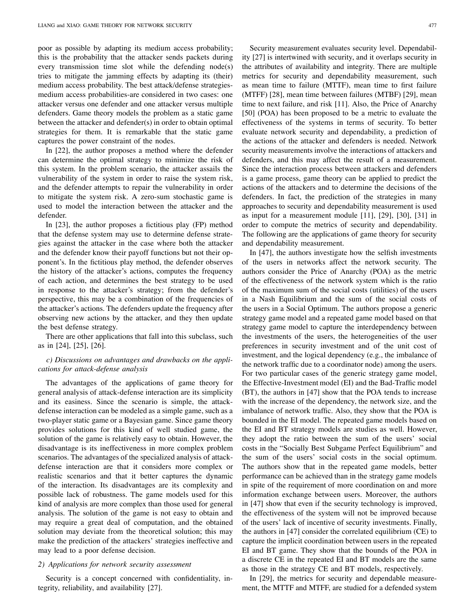poor as possible by adapting its medium access probability; this is the probability that the attacker sends packets during every transmission time slot while the defending node(s) tries to mitigate the jamming effects by adapting its (their) medium access probability. The best attack/defense strategiesmedium access probabilities-are considered in two cases: one attacker versus one defender and one attacker versus multiple defenders. Game theory models the problem as a static game between the attacker and defender(s) in order to obtain optimal strategies for them. It is remarkable that the static game captures the power constraint of the nodes.

In [22], the author proposes a method where the defender can determine the optimal strategy to minimize the risk of this system. In the problem scenario, the attacker assails the vulnerability of the system in order to raise the system risk, and the defender attempts to repair the vulnerability in order to mitigate the system risk. A zero-sum stochastic game is used to model the interaction between the attacker and the defender.

In [23], the author proposes a fictitious play (FP) method that the defense system may use to determine defense strategies against the attacker in the case where both the attacker and the defender know their payoff functions but not their opponent's. In the fictitious play method, the defender observes the history of the attacker's actions, computes the frequency of each action, and determines the best strategy to be used in response to the attacker's strategy; from the defender's perspective, this may be a combination of the frequencies of the attacker's actions. The defenders update the frequency after observing new actions by the attacker, and they then update the best defense strategy.

There are other applications that fall into this subclass, such as in [24], [25], [26].

# *c) Discussions on advantages and drawbacks on the applications for attack-defense analysis*

The advantages of the applications of game theory for general analysis of attack-defense interaction are its simplicity and its easiness. Since the scenario is simple, the attackdefense interaction can be modeled as a simple game, such as a two-player static game or a Bayesian game. Since game theory provides solutions for this kind of well studied game, the solution of the game is relatively easy to obtain. However, the disadvantage is its ineffectiveness in more complex problem scenarios. The advantages of the specialized analysis of attackdefense interaction are that it considers more complex or realistic scenarios and that it better captures the dynamic of the interaction. Its disadvantages are its complexity and possible lack of robustness. The game models used for this kind of analysis are more complex than those used for general analysis. The solution of the game is not easy to obtain and may require a great deal of computation, and the obtained solution may deviate from the theoretical solution; this may make the prediction of the attackers' strategies ineffective and may lead to a poor defense decision.

# *2) Applications for network security assessment*

Security is a concept concerned with confidentiality, integrity, reliability, and availability [27].

Security measurement evaluates security level. Dependability [27] is intertwined with security, and it overlaps security in the attributes of availability and integrity. There are multiple metrics for security and dependability measurement, such as mean time to failure (MTTF), mean time to first failure (MTFF) [28], mean time between failures (MTBF) [29], mean time to next failure, and risk [11]. Also, the Price of Anarchy [50] (POA) has been proposed to be a metric to evaluate the effectiveness of the systems in terms of security. To better evaluate network security and dependability, a prediction of the actions of the attacker and defenders is needed. Network security measurements involve the interactions of attackers and defenders, and this may affect the result of a measurement. Since the interaction process between attackers and defenders is a game process, game theory can be applied to predict the actions of the attackers and to determine the decisions of the defenders. In fact, the prediction of the strategies in many approaches to security and dependability measurement is used as input for a measurement module [11], [29], [30], [31] in order to compute the metrics of security and dependability. The following are the applications of game theory for security and dependability measurement.

In [47], the authors investigate how the selfish investments of the users in networks affect the network security. The authors consider the Price of Anarchy (POA) as the metric of the effectiveness of the network system which is the ratio of the maximum sum of the social costs (utilities) of the users in a Nash Equilibrium and the sum of the social costs of the users in a Social Optimum. The authors propose a generic strategy game model and a repeated game model based on that strategy game model to capture the interdependency between the investments of the users, the heterogeneities of the user preferences in security investment and of the unit cost of investment, and the logical dependency (e.g., the imbalance of the network traffic due to a coordinator node) among the users. For two particular cases of the generic strategy game model, the Effective-Investment model (EI) and the Bad-Traffic model (BT), the authors in [47] show that the POA tends to increase with the increase of the dependency, the network size, and the imbalance of network traffic. Also, they show that the POA is bounded in the EI model. The repeated game models based on the EI and BT strategy models are studies as well. However, they adopt the ratio between the sum of the users' social costs in the "Socially Best Subgame Perfect Equilibrium" and the sum of the users' social costs in the social optimum. The authors show that in the repeated game models, better performance can be achieved than in the strategy game models in spite of the requirement of more coordination on and more information exchange between users. Moreover, the authors in [47] show that even if the security technology is improved, the effectiveness of the system will not be improved because of the users' lack of incentive of security investments. Finally, the authors in [47] consider the correlated equilibrium (CE) to capture the implicit coordination between users in the repeated EI and BT game. They show that the bounds of the POA in a discrete CE in the repeated EI and BT models are the same as those in the strategy CE and BT models, respectively.

In [29], the metrics for security and dependable measurement, the MTTF and MTFF, are studied for a defended system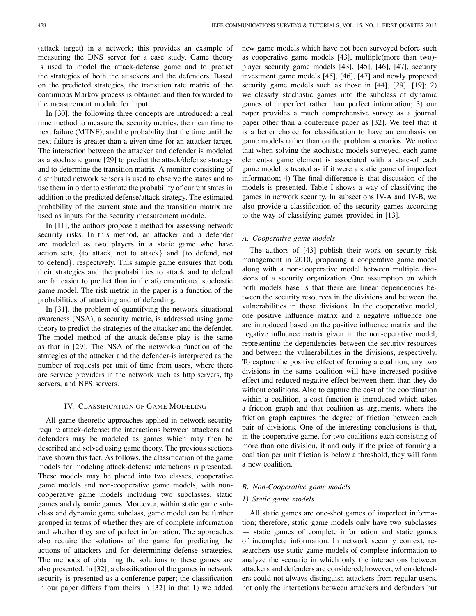(attack target) in a network; this provides an example of measuring the DNS server for a case study. Game theory is used to model the attack-defense game and to predict the strategies of both the attackers and the defenders. Based on the predicted strategies, the transition rate matrix of the continuous Markov process is obtained and then forwarded to the measurement module for input.

In [30], the following three concepts are introduced: a real time method to measure the security metrics, the mean time to next failure (MTNF), and the probability that the time until the next failure is greater than a given time for an attacker target. The interaction between the attacker and defender is modeled as a stochastic game [29] to predict the attack/defense strategy and to determine the transition matrix. A monitor consisting of distributed network sensors is used to observe the states and to use them in order to estimate the probability of current states in addition to the predicted defense/attack strategy. The estimated probability of the current state and the transition matrix are used as inputs for the security measurement module.

In [11], the authors propose a method for assessing network security risks. In this method, an attacker and a defender are modeled as two players in a static game who have action sets, *{*to attack, not to attack*}* and *{*to defend, not to defend*}*, respectively. This simple game ensures that both their strategies and the probabilities to attack and to defend are far easier to predict than in the aforementioned stochastic game model. The risk metric in the paper is a function of the probabilities of attacking and of defending.

In [31], the problem of quantifying the network situational awareness (NSA), a security metric, is addressed using game theory to predict the strategies of the attacker and the defender. The model method of the attack-defense play is the same as that in [29]. The NSA of the network-a function of the strategies of the attacker and the defender-is interpreted as the number of requests per unit of time from users, where there are service providers in the network such as http servers, ftp servers, and NFS servers.

## IV. CLASSIFICATION OF GAME MODELING

All game theoretic approaches applied in network security require attack-defense; the interactions between attackers and defenders may be modeled as games which may then be described and solved using game theory. The previous sections have shown this fact. As follows, the classification of the game models for modeling attack-defense interactions is presented. These models may be placed into two classes, cooperative game models and non-cooperative game models, with noncooperative game models including two subclasses, static games and dynamic games. Moreover, within static game subclass and dynamic game subclass, game model can be further grouped in terms of whether they are of complete information and whether they are of perfect information. The approaches also require the solutions of the game for predicting the actions of attackers and for determining defense strategies. The methods of obtaining the solutions to these games are also presented. In [32], a classification of the games in network security is presented as a conference paper; the classification in our paper differs from theirs in [32] in that 1) we added new game models which have not been surveyed before such as cooperative game models [43], multiple(more than two) player security game models [43], [45], [46], [47], security investment game models [45], [46], [47] and newly proposed security game models such as those in [44], [29], [19]; 2) we classify stochastic games into the subclass of dynamic games of imperfect rather than perfect information; 3) our paper provides a much comprehensive survey as a journal paper other than a conference paper as [32]. We feel that it is a better choice for classification to have an emphasis on game models rather than on the problem scenarios. We notice that when solving the stochastic models surveyed, each game element-a game element is associated with a state-of each game model is treated as if it were a static game of imperfect information; 4) The final difference is that discussion of the models is presented. Table I shows a way of classifying the games in network security. In subsections IV-A and IV-B, we also provide a classification of the security games according to the way of classifying games provided in [13].

# *A. Cooperative game models*

The authors of [43] publish their work on security risk management in 2010, proposing a cooperative game model along with a non-cooperative model between multiple divisions of a security organization. One assumption on which both models base is that there are linear dependencies between the security resources in the divisions and between the vulnerabilities in those divisions. In the cooperative model, one positive influence matrix and a negative influence one are introduced based on the positive influence matrix and the negative influence matrix given in the non-operative model, representing the dependencies between the security resources and between the vulnerabilities in the divisions, respectively. To capture the positive effect of forming a coalition, any two divisions in the same coalition will have increased positive effect and reduced negative effect between them than they do without coalitions. Also to capture the cost of the coordination within a coalition, a cost function is introduced which takes a friction graph and that coalition as arguments, where the friction graph captures the degree of friction between each pair of divisions. One of the interesting conclusions is that, in the cooperative game, for two coalitions each consisting of more than one division, if and only if the price of forming a coalition per unit friction is below a threshold, they will form a new coalition.

# *B. Non-Cooperative game models*

# *1) Static game models*

All static games are one-shot games of imperfect information; therefore, static game models only have two subclasses — static games of complete information and static games of incomplete information. In network security context, researchers use static game models of complete information to analyze the scenario in which only the interactions between attackers and defenders are considered; however, when defenders could not always distinguish attackers from regular users, not only the interactions between attackers and defenders but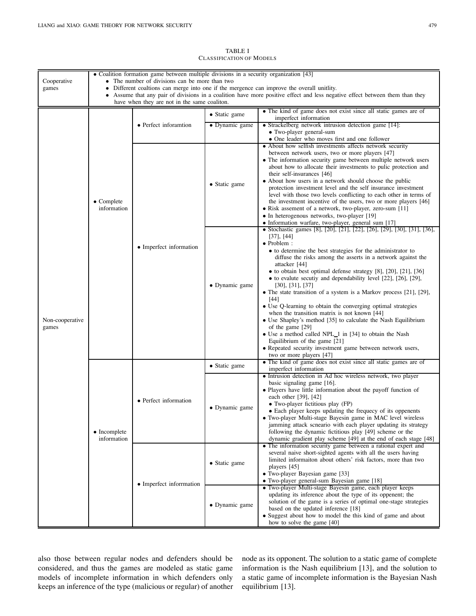| Cooperative<br>games     | • Coalition formation game between multiple divisions in a security organization [43]<br>• The number of divisions can be more than two<br>Different coaltions can merge into one if the mergence can improve the overall unitlity.<br>$\bullet$<br>• Assume that any pair of divisions in a coalition have more positive effect and less negative effect between them than they<br>have when they are not in the same coaliton. |                         |                                 |                                                                                                                                                                                                                                                                                                                                                                                                                                                                                                                                                                                                                                                                                                                                                                                                                                                                                                                                                                          |  |  |
|--------------------------|----------------------------------------------------------------------------------------------------------------------------------------------------------------------------------------------------------------------------------------------------------------------------------------------------------------------------------------------------------------------------------------------------------------------------------|-------------------------|---------------------------------|--------------------------------------------------------------------------------------------------------------------------------------------------------------------------------------------------------------------------------------------------------------------------------------------------------------------------------------------------------------------------------------------------------------------------------------------------------------------------------------------------------------------------------------------------------------------------------------------------------------------------------------------------------------------------------------------------------------------------------------------------------------------------------------------------------------------------------------------------------------------------------------------------------------------------------------------------------------------------|--|--|
| Non-cooperative<br>games | $\bullet$ Complete<br>information                                                                                                                                                                                                                                                                                                                                                                                                | • Perfect inforamtion   | • Static game<br>• Dynamic game | • The kind of game does not exist since all static games are of<br>imperfect information<br>• Strackelberg network intrusion detection game [14]:                                                                                                                                                                                                                                                                                                                                                                                                                                                                                                                                                                                                                                                                                                                                                                                                                        |  |  |
|                          |                                                                                                                                                                                                                                                                                                                                                                                                                                  | • Imperfect information | • Static game                   | • Two-player general-sum<br>• One leader who moves first and one follower<br>• About how selfish investments affects network security<br>between network users, two or more players [47]<br>• The information security game between multiple network users<br>about how to allocate their investments to pulic protection and<br>their self-insurances [46]<br>• About how users in a network should choose the public<br>protection investment level and the self insurance investment<br>level with those two levels conflicting to each other in terms of<br>the investment incentive of the users, two or more players [46]<br>• Risk assement of a network, two-player, zero-sum [11]<br>• In heterogenous networks, two-player [19]                                                                                                                                                                                                                                |  |  |
|                          |                                                                                                                                                                                                                                                                                                                                                                                                                                  |                         | • Dynamic game                  | • Information warfare, two-player, general sum [17]<br>• Stochastic games [8], [20], [21], [22], [26], [29], [30], [31], [36],<br>$[37]$ , $[44]$<br>• Problem :<br>• to determine the best strategies for the administrator to<br>diffuse the risks among the asserts in a network against the<br>attacker [44]<br>$\bullet$ to obtain best optimal defense strategy [8], [20], [21], [36]<br>$\bullet$ to evalute secutiv and dependability level [22], [26], [29],<br>$[30]$ , $[31]$ , $[37]$<br>• The state transition of a system is a Markov process [21], [29],<br>[44]<br>• Use Q-learning to obtain the converging optimal strategies<br>when the transition matrix is not known [44]<br>• Use Shapley's method [35] to calculate the Nash Equilibrium<br>of the game [29]<br>• Use a method called NPL 1 in [34] to obtain the Nash<br>Equilibrium of the game [21]<br>• Repeated security investment game between network users,<br>two or more players [47] |  |  |
|                          | • Incomplete<br>information                                                                                                                                                                                                                                                                                                                                                                                                      | • Perfect information   | • Static game                   | • The kind of game does not exist since all static games are of<br>imperfect information<br>• Intrusion detection in Ad hoc wireless network, two player                                                                                                                                                                                                                                                                                                                                                                                                                                                                                                                                                                                                                                                                                                                                                                                                                 |  |  |
|                          |                                                                                                                                                                                                                                                                                                                                                                                                                                  |                         | • Dynamic game                  | basic signaling game [16].<br>• Players have little information about the payoff function of<br>each other [39], [42]<br>• Two-player fictitious play (FP)<br>• Each player keeps updating the frequecy of its oppenents<br>• Two-player Multi-stage Bayesin game in MAC level wireless<br>jamming attack scneario with each player updating its strategy<br>following the dynamic fictitious play [49] scheme or the<br>dynamic gradient play scheme [49] at the end of each stage [48]                                                                                                                                                                                                                                                                                                                                                                                                                                                                                 |  |  |
|                          |                                                                                                                                                                                                                                                                                                                                                                                                                                  | • Imperfect information | • Static game                   | • The information security game between a rational expert and<br>several naive short-sighted agents with all the users having<br>limited informaiton about others' risk factors, more than two<br>players [45]<br>• Two-player Bayesian game [33]<br>· Two-player general-sum Bayesian game [18]                                                                                                                                                                                                                                                                                                                                                                                                                                                                                                                                                                                                                                                                         |  |  |
|                          |                                                                                                                                                                                                                                                                                                                                                                                                                                  |                         | • Dynamic game                  | · Two-player Multi-stage Bayesin game, each player keeps<br>updating its inference about the type of its oppenent; the<br>solution of the game is a series of optimal one-stage strategies<br>based on the updated inference [18]<br>• Suggest about how to model the this kind of game and about<br>how to solve the game [40]                                                                                                                                                                                                                                                                                                                                                                                                                                                                                                                                                                                                                                          |  |  |

TABLE I CLASSIFICATION OF MODELS

also those between regular nodes and defenders should be considered, and thus the games are modeled as static game models of incomplete information in which defenders only keeps an inference of the type (malicious or regular) of another node as its opponent. The solution to a static game of complete information is the Nash equilibrium [13], and the solution to a static game of incomplete information is the Bayesian Nash equilibrium [13].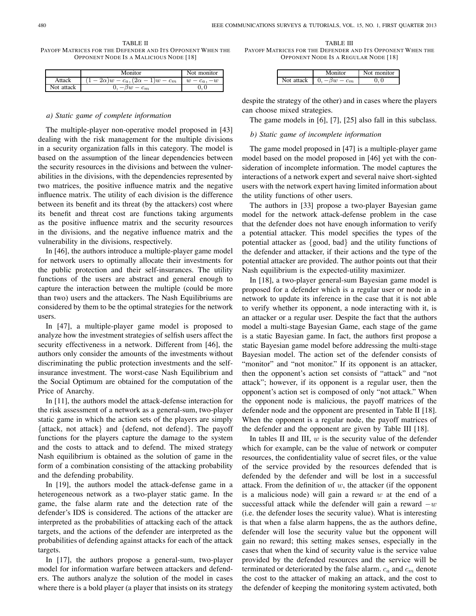TABLE II PAYOFF MATRICES FOR THE DEFENDER AND ITS OPPONENT WHEN THE OPPONENT NODE IS A MALICIOUS NODE [18]

|            | Monitor                                     | Not monitor   |
|------------|---------------------------------------------|---------------|
| Attack     | $(2\alpha)w - c_a$ , $(2\alpha - 1)w - c_m$ | $w - c_a, -w$ |
| Not attack | $\beta w - c_m$                             |               |

# *a) Static game of complete information*

The multiple-player non-operative model proposed in [43] dealing with the risk management for the multiple divisions in a security organization falls in this category. The model is based on the assumption of the linear dependencies between the security resources in the divisions and between the vulnerabilities in the divisions, with the dependencies represented by two matrices, the positive influence matrix and the negative influence matrix. The utility of each division is the difference between its benefit and its threat (by the attackers) cost where its benefit and threat cost are functions taking arguments as the positive influence matrix and the security resources in the divisions, and the negative influence matrix and the vulnerability in the divisions, respectively.

In [46], the authors introduce a multiple-player game model for network users to optimally allocate their investments for the public protection and their self-insurances. The utility functions of the users are abstract and general enough to capture the interaction between the multiple (could be more than two) users and the attackers. The Nash Equilibriums are considered by them to be the optimal strategies for the network users.

In [47], a multiple-player game model is proposed to analyze how the investment strategies of selfish users affect the security effectiveness in a network. Different from [46], the authors only consider the amounts of the investments without discriminating the public protection investments and the selfinsurance investment. The worst-case Nash Equilibrium and the Social Optimum are obtained for the computation of the Price of Anarchy.

In [11], the authors model the attack-defense interaction for the risk assessment of a network as a general-sum, two-player static game in which the action sets of the players are simply *{*attack, not attack*}* and *{*defend, not defend*}*. The payoff functions for the players capture the damage to the system and the costs to attack and to defend. The mixed strategy Nash equilibrium is obtained as the solution of game in the form of a combination consisting of the attacking probability and the defending probability.

In [19], the authors model the attack-defense game in a heterogeneous network as a two-player static game. In the game, the false alarm rate and the detection rate of the defender's IDS is considered. The actions of the attacker are interpreted as the probabilities of attacking each of the attack targets, and the actions of the defender are interpreted as the probabilities of defending against attacks for each of the attack targets.

In [17], the authors propose a general-sum, two-player model for information warfare between attackers and defenders. The authors analyze the solution of the model in cases where there is a bold player (a player that insists on its strategy

TABLE III PAYOFF MATRICES FOR THE DEFENDER AND ITS OPPONENT WHEN THE OPPONENT NODE IS A REGULAR NODE [18]

|            | Monitor     | monitor |
|------------|-------------|---------|
| Vot attack | $c_m$<br>v, | u       |

despite the strategy of the other) and in cases where the players can choose mixed strategies.

The game models in [6], [7], [25] also fall in this subclass.

### *b) Static game of incomplete information*

The game model proposed in [47] is a multiple-player game model based on the model proposed in [46] yet with the consideration of incomplete information. The model captures the interactions of a network expert and several naive short-sighted users with the network expert having limited information about the utility functions of other users.

The authors in [33] propose a two-player Bayesian game model for the network attack-defense problem in the case that the defender does not have enough information to verify a potential attacker. This model specifies the types of the potential attacker as *{*good, bad*}* and the utility functions of the defender and attacker, if their actions and the type of the potential attacker are provided. The author points out that their Nash equilibrium is the expected-utility maximizer.

In [18], a two-player general-sum Bayesian game model is proposed for a defender which is a regular user or node in a network to update its inference in the case that it is not able to verify whether its opponent, a node interacting with it, is an attacker or a regular user. Despite the fact that the authors model a multi-stage Bayesian Game, each stage of the game is a static Bayesian game. In fact, the authors first propose a static Bayesian game model before addressing the multi-stage Bayesian model. The action set of the defender consists of "monitor" and "not monitor." If its opponent is an attacker, then the opponent's action set consists of "attack" and "not attack"; however, if its opponent is a regular user, then the opponent's action set is composed of only "not attack." When the opponent node is malicious, the payoff matrices of the defender node and the opponent are presented in Table II [18]. When the opponent is a regular node, the payoff matrices of the defender and the opponent are given by Table III [18].

In tables II and III,  $w$  is the security value of the defender which for example, can be the value of network or computer resources, the confidentiality value of secret files, or the value of the service provided by the resources defended that is defended by the defender and will be lost in a successful attack. From the definition of  $w$ , the attacker (if the opponent is a malicious node) will gain a reward  $w$  at the end of a successful attack while the defender will gain a reward *−*w (i.e. the defender loses the security value). What is interesting is that when a false alarm happens, the as the authors define, defender will lose the security value but the opponent will gain no reward; this setting makes senses, especially in the cases that when the kind of security value is the service value provided by the defended resources and the service will be terminated or deteriorated by the false alarm.  $c_a$  and  $c_m$  denote the cost to the attacker of making an attack, and the cost to the defender of keeping the monitoring system activated, both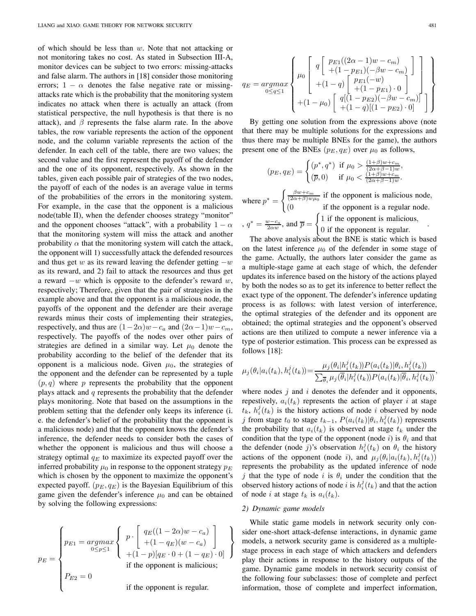of which should be less than  $w$ . Note that not attacking or not monitoring takes no cost. As stated in Subsection III-A, monitor devices can be subject to two errors: missing-attacks and false alarm. The authors in [18] consider those monitoring errors;  $1 - \alpha$  denotes the false negative rate or missingattacks rate which is the probability that the monitoring system indicates no attack when there is actually an attack (from statistical perspective, the null hypothesis is that there is no attack), and  $\beta$  represents the false alarm rate. In the above tables, the row variable represents the action of the opponent node, and the column variable represents the action of the defender. In each cell of the table, there are two values; the second value and the first represent the payoff of the defender and the one of its opponent, respectively. As shown in the tables, given each possible pair of strategies of the two nodes, the payoff of each of the nodes is an average value in terms of the probabilities of the errors in the monitoring system. For example, in the case that the opponent is a malicious node(table II), when the defender chooses strategy "monitor" and the opponent chooses "attack", with a probability  $1 - \alpha$ that the monitoring system will miss the attack and another probability  $\alpha$  that the monitoring system will catch the attack, the opponent will 1) successfully attack the defended resources and thus get w as its reward leaving the defender getting *−*w as its reward, and 2) fail to attack the resources and thus get a reward *−*w which is opposite to the defender's reward w, respectively; Therefore, given that the pair of strategies in the example above and that the opponent is a malicious node, the payoffs of the opponent and the defender are their average rewards minus their costs of implementing their strategies, respectively, and thus are  $(1-2\alpha)w-c_a$  and  $(2\alpha-1)w-c_m$ , respectively. The payoffs of the nodes over other pairs of strategies are defined in a similar way. Let  $\mu_0$  denote the probability according to the belief of the defender that its opponent is a malicious node. Given  $\mu_0$ , the strategies of the opponent and the defender can be represented by a tuple  $(p, q)$  where p represents the probability that the opponent plays attack and  $q$  represents the probability that the defender plays monitoring. Note that based on the assumptions in the problem setting that the defender only keeps its inference (i. e. the defender's belief of the probability that the opponent is a malicious node) and that the opponent knows the defender's inference, the defender needs to consider both the cases of whether the opponent is malicious and thus will choose a strategy optimal  $q_E$  to maximize its expected payoff over the inferred probability  $\mu_0$  in response to the opponent strategy  $p_E$ which is chosen by the opponent to maximize the opponent's expected payoff.  $(p_E, q_E)$  is the Bayesian Equilibrium of this game given the defender's inference  $\mu_0$  and can be obtained by solving the following expressions:

$$
p_E = \begin{cases} p_{E1} = \underset{0 \le p \le 1}{\operatorname{argmax}} \left\{ p \cdot \left[ \begin{array}{l} q_E((1 - 2\alpha)w - c_a) \\ + (1 - q_E)(w - c_a) \\ + (1 - p)[q_E \cdot 0 + (1 - q_E) \cdot 0] \end{array} \right] \right\} \\ \text{if the opponent is malicious;} \\ P_{E2} = 0 \end{cases}
$$
if the opponent is regular.

$$
q_E = \underset{0 \le q \le 1}{argmax} \left\{ \mu_0 \left[ \begin{array}{c} q \left[ \begin{array}{c} p_{E1}((2\alpha - 1)w - c_m) \\ + (1 - p_{E1})(-\beta w - c_m) \end{array} \right] \\ + (1 - q) \left[ \begin{array}{c} p_{E1}(-w) \\ + (1 - p_{E1}) \cdot 0 \\ + (1 - p_{E2})(-\beta w - c_m) \end{array} \right] \\ + (1 - \mu_0) \left[ \begin{array}{c} q[(1 - p_{E2})(-\beta w - c_m)] \\ + (1 - q)[(1 - p_{E2}) \cdot 0] \end{array} \right] \right\}
$$

By getting one solution from the expressions above (note that there may be multiple solutions for the expressions and thus there may be multiple BNEs for the game), the authors present one of the BNEs  $(p_E, q_E)$  over  $\mu_0$  as follows,

$$
(p_E, q_E) = \begin{cases} (p^*, q^*) & \text{if } \mu_0 > \frac{(1+\beta)w + c_m}{(2\alpha + \beta - 1)w}, \\ (\overline{p}, 0) & \text{if } \mu_0 < \frac{(1+\beta)w + c_m}{(2\alpha + \beta - 1)w}. \end{cases}
$$

where  $p^* =$  $\int \frac{\beta w + c_m}{(2\alpha + \beta)w\mu_0}$  if the opponent is malicious node, (0 if the opponent is a regular node.

$$
q^* = \frac{w - c_a}{2\alpha w}
$$
, and  $\overline{p} = \begin{cases} 1 \text{ if the opponent is malicious,} \\ 0 \text{ if the opponent is regular.} \end{cases}$ .

The above analysis about the BNE is static which is based on the latest inference  $\mu_0$  of the defender in some stage of the game. Actually, the authors later consider the game as a multiple-stage game at each stage of which, the defender updates its inference based on the history of the actions played by both the nodes so as to get its inference to better reflect the exact type of the opponent. The defender's inference updating process is as follows: with latest version of interference, the optimal strategies of the defender and its opponent are obtained; the optimal strategies and the opponent's observed actions are then utilized to compute a newer inference via a type of posterior estimation. This process can be expressed as follows [18]:

$$
\mu_j(\theta_i|a_i(t_k),h_i^j(t_k)) = \frac{\mu_j(\theta_i|h_i^j(t_k))P(a_i(t_k)|\theta_i,h_i^j(t_k))}{\sum_{\overline{\theta}_i}\mu_j(\overline{\theta}_i|h_i^j(t_k))P(a_i(t_k)|\overline{\theta}_i,h_i^j(t_k))},
$$

where nodes  $j$  and  $i$  denotes the defender and it opponents, repestively,  $a_i(t_k)$  represents the action of player i at stage  $t_k$ ,  $h_i^j(t_k)$  is the history actions of node i observed by node j from stage t<sub>0</sub> to stage  $t_{k-1}$ ,  $P(a_i(t_k)|\theta_i, h_i^j(t_k))$  represents the probability that  $a_i(t_k)$  is observed at stage  $t_k$  under the condition that the type of the opponent (node i) is  $\theta_i$  and that the defender (node j)'s observation  $h_i^j(t_k)$  on  $\theta_i$  the history actions of the opponent (node i), and  $\mu_j(\theta_i|a_i(t_k), h_i^j(t_k))$ represents the probability as the updated inference of node j that the type of node i is  $\theta_i$  under the condition that the observed history actions of node i is  $h_i^j(t_k)$  and that the action of node i at stage  $t_k$  is  $a_i(t_k)$ .

# *2) Dynamic game models*

While static game models in network security only consider one-short attack-defense interactions, in dynamic game models, a network security game is considered as a multiplestage process in each stage of which attackers and defenders play their actions in response to the history outputs of the game. Dynamic game models in network security consist of the following four subclasses: those of complete and perfect information, those of complete and imperfect information,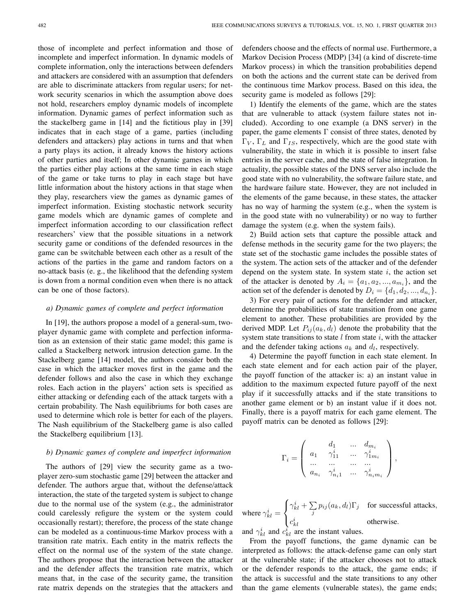those of incomplete and perfect information and those of incomplete and imperfect information. In dynamic models of complete information, only the interactions between defenders and attackers are considered with an assumption that defenders are able to discriminate attackers from regular users; for network security scenarios in which the assumption above does not hold, researchers employ dynamic models of incomplete information. Dynamic games of perfect information such as the stackelberg game in [14] and the fictitious play in [39] indicates that in each stage of a game, parties (including defenders and attackers) play actions in turns and that when a party plays its action, it already knows the history actions of other parties and itself; In other dynamic games in which the parties either play actions at the same time in each stage of the game or take turns to play in each stage but have little information about the history actions in that stage when they play, researchers view the games as dynamic games of imperfect information. Existing stochastic network security game models which are dynamic games of complete and imperfect information according to our classification reflect researchers' view that the possible situations in a network security game or conditions of the defended resources in the game can be switchable between each other as a result of the actions of the parties in the game and random factors on a no-attack basis (e. g., the likelihood that the defending system is down from a normal condition even when there is no attack can be one of those factors).

# *a) Dynamic games of complete and perfect information*

In [19], the authors propose a model of a general-sum, twoplayer dynamic game with complete and perfection information as an extension of their static game model; this game is called a Stackelberg network intrusion detection game. In the Stackelberg game [14] model, the authors consider both the case in which the attacker moves first in the game and the defender follows and also the case in which they exchange roles. Each action in the players' action sets is specified as either attacking or defending each of the attack targets with a certain probability. The Nash equilibriums for both cases are used to determine which role is better for each of the players. The Nash equilibrium of the Stackelberg game is also called the Stackelberg equilibrium [13].

# *b) Dynamic games of complete and imperfect information*

The authors of [29] view the security game as a twoplayer zero-sum stochastic game [29] between the attacker and defender. The authors argue that, without the defense/attack interaction, the state of the targeted system is subject to change due to the normal use of the system (e.g., the administrator could carelessly refigure the system or the system could occasionally restart); therefore, the process of the state change can be modeled as a continuous-time Markov process with a transition rate matrix. Each entity in the matrix reflects the effect on the normal use of the system of the state change. The authors propose that the interaction between the attacker and the defender affects the transition rate matrix, which means that, in the case of the security game, the transition rate matrix depends on the strategies that the attackers and defenders choose and the effects of normal use. Furthermore, a Markov Decision Process (MDP) [34] (a kind of discrete-time Markov process) in which the transition probabilities depend on both the actions and the current state can be derived from the continuous time Markov process. Based on this idea, the security game is modeled as follows [29]:

1) Identify the elements of the game, which are the states that are vulnerable to attack (system failure states not included). According to one example (a DNS server) in the paper, the game elements  $\Gamma$  consist of three states, denoted by  $\Gamma_V$ ,  $\Gamma_L$  and  $\Gamma_{IS}$ , respectively, which are the good state with vulnerability, the state in which it is possible to insert false entries in the server cache, and the state of false integration. In actuality, the possible states of the DNS server also include the good state with no vulnerability, the software failure state, and the hardware failure state. However, they are not included in the elements of the game because, in these states, the attacker has no way of harming the system (e.g., when the system is in the good state with no vulnerability) or no way to further damage the system (e.g. when the system fails).

2) Build action sets that capture the possible attack and defense methods in the security game for the two players; the state set of the stochastic game includes the possible states of the system. The action sets of the attacker and of the defender depend on the system state. In system state  $i$ , the action set of the attacker is denoted by  $A_i = \{a_1, a_2, ..., a_{m_i}\}$ , and the action set of the defender is denoted by  $D_i = \{d_1, d_2, ..., d_{n_i}\}.$ 

3) For every pair of actions for the defender and attacker, determine the probabilities of state transition from one game element to another. These probabilities are provided by the derived MDP. Let  $P_{ij}(a_k, d_l)$  denote the probability that the system state transitions to state  $l$  from state  $i$ , with the attacker and the defender taking actions  $a_k$  and  $d_l$ , respectively.

4) Determine the payoff function in each state element. In each state element and for each action pair of the player, the payoff function of the attacker is: a) an instant value in addition to the maximum expected future payoff of the next play if it successfully attacks and if the state transitions to another game element or b) an instant value if it does not. Finally, there is a payoff matrix for each game element. The payoff matrix can be denoted as follows [29]:

$$
\Gamma_i = \left( \begin{array}{cccc} d_1 & \ldots & d_{m_i} \\ a_1 & \gamma_{11}^i & \ldots & \gamma_{1m_i}^i \\ \ldots & \ldots & \ldots & \ldots \\ a_{n_i} & \gamma_{n_i1}^i & \ldots & \gamma_{n_i m_i}^i \end{array} \right),
$$

where  $\gamma_{kl}^i =$  $\sqrt{ }$  $\overline{J}$  $\overline{I}$  $\gamma_{kl}^i + \sum_j p_{ij} (a_k, d_l) \Gamma_j$  for successful attacks,  $c_{kl}^i$  otherwise.

and  $\gamma_{kl}^i$  and  $c_{kl}^i$  are the instant values.

From the payoff functions, the game dynamic can be interpreted as follows: the attack-defense game can only start at the vulnerable state; if the attacker chooses not to attack or the defender responds to the attack, the game ends; if the attack is successful and the state transitions to any other than the game elements (vulnerable states), the game ends;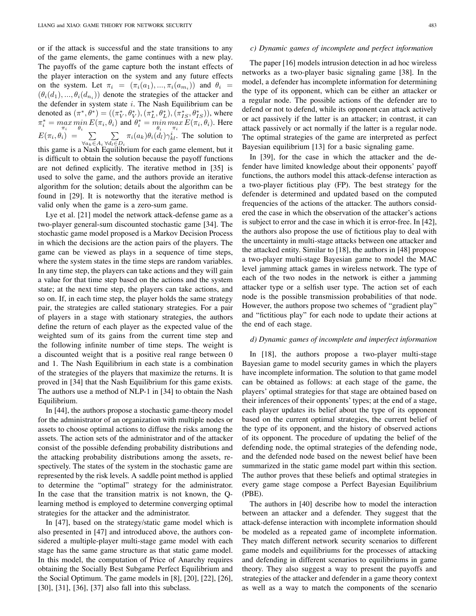or if the attack is successful and the state transitions to any of the game elements, the game continues with a new play. The payoffs of the game capture both the instant effects of the player interaction on the system and any future effects on the system. Let  $\pi_i = (\pi_i(a_1), ..., \pi_i(a_{m_i}))$  and  $\theta_i$  $(\theta_i(d_1), ..., \theta_i(d_{n_i}))$  denote the strategies of the attacker and the defender in system state  $i$ . The Nash Equilibrium can be denoted as  $(\pi^*, \theta^*) = ((\pi_V^*, \theta_V^*), (\pi_L^*, \theta_L^*), (\pi_{IS}^*, \theta_{IS}^*)),$  where  $\pi_i^* = \max_{\pi_i} \min_{\theta_i} E(\pi_i, \theta_i)$  and  $\theta_i^* = \min_{\theta_i} \max_{\pi_i} E(\pi_i, \theta_i)$ . Here  $E(\pi_i, \theta_i) = \sum$ <sup>∀</sup>a*k*∈A*<sup>i</sup>* Σ <sup>∀</sup>d*l*∈D*<sup>i</sup>*  $\pi_i(a_k) \theta_i(\dot{d}_l) \gamma_{kl}^i$ . The solution to this game is a Nash Equilibrium for each game element, but it is difficult to obtain the solution because the payoff functions are not defined explicitly. The iterative method in [35] is used to solve the game, and the authors provide an iterative algorithm for the solution; details about the algorithm can be found in [29]. It is noteworthy that the iterative method is valid only when the game is a zero-sum game.

Lye et al. [21] model the network attack-defense game as a two-player general-sum discounted stochastic game [34]. The stochastic game model proposed is a Markov Decision Process in which the decisions are the action pairs of the players. The game can be viewed as plays in a sequence of time steps, where the system states in the time steps are random variables. In any time step, the players can take actions and they will gain a value for that time step based on the actions and the system state; at the next time step, the players can take actions, and so on. If, in each time step, the player holds the same strategy pair, the strategies are called stationary strategies. For a pair of players in a stage with stationary strategies, the authors define the return of each player as the expected value of the weighted sum of its gains from the current time step and the following infinite number of time steps. The weight is a discounted weight that is a positive real range between 0 and 1. The Nash Equilibrium in each state is a combination of the strategies of the players that maximize the returns. It is proved in [34] that the Nash Equilibrium for this game exists. The authors use a method of NLP-1 in [34] to obtain the Nash Equilibrium.

In [44], the authors propose a stochastic game-theory model for the administrator of an organization with multiple nodes or assets to choose optimal actions to diffuse the risks among the assets. The action sets of the administrator and of the attacker consist of the possible defending probability distributions and the attacking probability distributions among the assets, respectively. The states of the system in the stochastic game are represented by the risk levels. A saddle point method is applied to determine the "optimal" strategy for the administrator. In the case that the transition matrix is not known, the Qlearning method is employed to determine converging optimal strategies for the attacker and the administrator.

In [47], based on the strategy/static game model which is also presented in [47] and introduced above, the authors considered a multiple-player multi-stage game model with each stage has the same game structure as that static game model. In this model, the computation of Price of Anarchy requires obtaining the Socially Best Subgame Perfect Equilibrium and the Social Optimum. The game models in [8], [20], [22], [26], [30], [31], [36], [37] also fall into this subclass.

#### *c) Dynamic games of incomplete and perfect information*

The paper [16] models intrusion detection in ad hoc wireless networks as a two-player basic signaling game [38]. In the model, a defender has incomplete information for determining the type of its opponent, which can be either an attacker or a regular node. The possible actions of the defender are to defend or not to defend, while its opponent can attack actively or act passively if the latter is an attacker; in contrast, it can attack passively or act normally if the latter is a regular node. The optimal strategies of the game are interpreted as perfect Bayesian equilibrium [13] for a basic signaling game.

In [39], for the case in which the attacker and the defender have limited knowledge about their opponents' payoff functions, the authors model this attack-defense interaction as a two-player fictitious play (FP). The best strategy for the defender is determined and updated based on the computed frequencies of the actions of the attacker. The authors considered the case in which the observation of the attacker's actions is subject to error and the case in which it is error-free. In [42], the authors also propose the use of fictitious play to deal with the uncertainty in multi-stage attacks between one attacker and the attacked entity. Similar to [18], the authors in [48] propose a two-player multi-stage Bayesian game to model the MAC level jamming attack games in wireless network. The type of each of the two nodes in the network is either a jamming attacker type or a selfish user type. The action set of each node is the possible transmission probabilities of that node. However, the authors propose two schemes of "gradient play" and "fictitious play" for each node to update their actions at the end of each stage.

## *d) Dynamic games of incomplete and imperfect information*

In [18], the authors propose a two-player multi-stage Bayesian game to model security games in which the players have incomplete information. The solution to that game model can be obtained as follows: at each stage of the game, the players' optimal strategies for that stage are obtained based on their inferences of their opponents' types; at the end of a stage, each player updates its belief about the type of its opponent based on the current optimal strategies, the current belief of the type of its opponent, and the history of observed actions of its opponent. The procedure of updating the belief of the defending node, the optimal strategies of the defending node, and the defended node based on the newest belief have been summarized in the static game model part within this section. The author proves that these beliefs and optimal strategies in every game stage compose a Perfect Bayesian Equilibrium (PBE).

The authors in [40] describe how to model the interaction between an attacker and a defender. They suggest that the attack-defense interaction with incomplete information should be modeled as a repeated game of incomplete information. They match different network security scenarios to different game models and equilibriums for the processes of attacking and defending in different scenarios to equilibriums in game theory. They also suggest a way to present the payoffs and strategies of the attacker and defender in a game theory context as well as a way to match the components of the scenario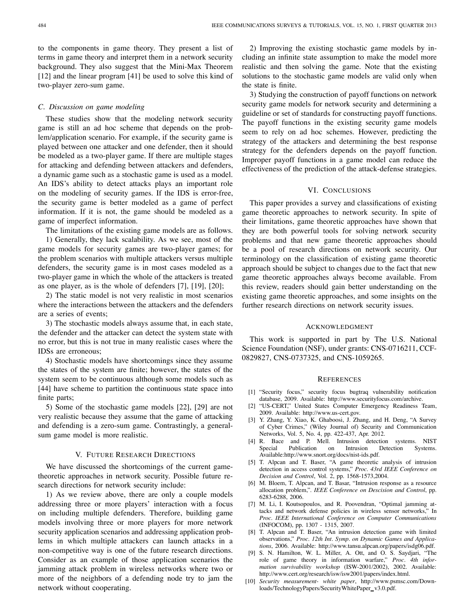to the components in game theory. They present a list of terms in game theory and interpret them in a network security background. They also suggest that the Mini-Max Theorem [12] and the linear program [41] be used to solve this kind of two-player zero-sum game.

# *C. Discussion on game modeling*

These studies show that the modeling network security game is still an ad hoc scheme that depends on the problem/application scenario. For example, if the security game is played between one attacker and one defender, then it should be modeled as a two-player game. If there are multiple stages for attacking and defending between attackers and defenders, a dynamic game such as a stochastic game is used as a model. An IDS's ability to detect attacks plays an important role on the modeling of security games. If the IDS is error-free, the security game is better modeled as a game of perfect information. If it is not, the game should be modeled as a game of imperfect information.

The limitations of the existing game models are as follows. 1) Generally, they lack scalability. As we see, most of the game models for security games are two-player games; for the problem scenarios with multiple attackers versus multiple defenders, the security game is in most cases modeled as a two-player game in which the whole of the attackers is treated as one player, as is the whole of defenders [7], [19], [20];

2) The static model is not very realistic in most scenarios where the interactions between the attackers and the defenders are a series of events;

3) The stochastic models always assume that, in each state, the defender and the attacker can detect the system state with no error, but this is not true in many realistic cases where the IDSs are erroneous;

4) Stochastic models have shortcomings since they assume the states of the system are finite; however, the states of the system seem to be continuous although some models such as [44] have scheme to partition the continuous state space into finite parts;

5) Some of the stochastic game models [22], [29] are not very realistic because they assume that the game of attacking and defending is a zero-sum game. Contrastingly, a generalsum game model is more realistic.

## V. FUTURE RESEARCH DIRECTIONS

We have discussed the shortcomings of the current gametheoretic approaches in network security. Possible future research directions for network security include:

1) As we review above, there are only a couple models addressing three or more players' interaction with a focus on including multiple defenders. Therefore, building game models involving three or more players for more network security application scenarios and addressing application problems in which multiple attackers can launch attacks in a non-competitive way is one of the future research directions. Consider as an example of those application scenarios the jamming attack problem in wireless networks where two or more of the neighbors of a defending node try to jam the network without cooperating.

2) Improving the existing stochastic game models by including an infinite state assumption to make the model more realistic and then solving the game. Note that the existing solutions to the stochastic game models are valid only when the state is finite.

3) Studying the construction of payoff functions on network security game models for network security and determining a guideline or set of standards for constructing payoff functions. The payoff functions in the existing security game models seem to rely on ad hoc schemes. However, predicting the strategy of the attackers and determining the best response strategy for the defenders depends on the payoff function. Improper payoff functions in a game model can reduce the effectiveness of the prediction of the attack-defense strategies.

## VI. CONCLUSIONS

This paper provides a survey and classifications of existing game theoretic approaches to network security. In spite of their limitations, game theoretic approaches have shown that they are both powerful tools for solving network security problems and that new game theoretic approaches should be a pool of research directions on network security. Our terminology on the classification of existing game theoretic approach should be subject to changes due to the fact that new game theoretic approaches always become available. From this review, readers should gain better understanding on the existing game theoretic approaches, and some insights on the further research directions on network security issues.

# ACKNOWLEDGMENT

This work is supported in part by The U.S. National Science Foundation (NSF), under grants: CNS-0716211, CCF-0829827, CNS-0737325, and CNS-1059265.

#### **REFERENCES**

- [1] "Security focus," security focus bugtraq vulnerability notification database, 2009. Available: http://www.securityfocus.com/archive.
- [2] "US-CERT," United States Computer Emergency Readiness Team, 2009. Available: http://www.us-cert.gov.
- [3] Y. Zhang, Y. Xiao, K. Ghaboosi, J. Zhang, and H. Deng, "A Survey of Cyber Crimes," (Wiley Journal of) Security and Communication Networks, Vol. 5, No. 4, pp. 422-437, Apr. 2012.
- [4] R. Bace and P. Mell. Intrusion detection systems. NIST Special Publication on Intrusion Detection Systems. Available:http://www.snort.org/docs/nist-ids.pdf.
- [5] T. Alpcan and T. Baser, "A game theoretic analysis of intrusion detection in access control systems," *Proc. 43rd IEEE Conference on Decision and Control*, Vol. 2, pp. 1568-1573,2004.
- [6] M. Bloem, T. Alpcan, and T. Basar, "Intrusion response as a resource allocation problem,". *IEEE Conference on Descision and Control*, pp. 6283-6288, 2006.
- [7] M. Li, I. Koutsopoulos, and R. Poovendran, "Optimal jamming attacks and network defense policies in wireless sensor networks," In *Proc. IEEE International Conference on Computer Communications* (INFOCOM), pp. 1307 - 1315, 2007.
- [8] T. Alpcan and T. Baser, "An intrusion detection game with limited observations," *Proc. 12th Int. Symp. on Dynamic Games and Applications*, 2006. Available: http://www.tansu.alpcan.org/papers/isdg06.pdf.
- [9] S. N. Hamilton, W. L. Miller, A. Ott, and O. S. Saydjari, "The role of game theory in information warfare," *Proc. 4th information survivability workshop* (ISW-2001/2002), 2002. Available: http://www.cert.org/research/isw/isw2001/papers/index.html.
- [10] *Security measurement- white paper*, http://www.psmsc.com/Downloads/TechnologyPapers/SecurityWhitePaper\_v3.0.pdf.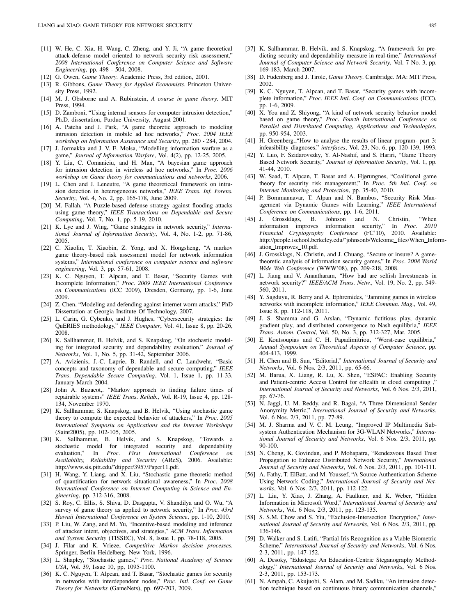- [11] W. He, C. Xia, H. Wang, C. Zheng, and Y. Ji, "A game theoretical attack-defense model oriented to network security risk assessment," *2008 International Conference on Computer Science and Software Engineering*, pp. 498 - 504, 2008.
- [12] G. Owen, *Game Theory*. Academic Press, 3rd edition, 2001.
- [13] R. Gibbons, *Game Theory for Applied Economists*. Princeton University Press, 1992.
- [14] M. J. Obsborne and A. Rubinstein, *A course in game theory*. MIT Press, 1994.
- [15] D. Zamboni, "Using internal sensors for computer intrusion detection," Ph.D. dissertation, Purdue University, August 2001.
- [16] A. Patcha and J. Park, "A game theoretic approach to modeling intrusion detection in mobile ad hoc networks," *Proc. 2004 IEEE workshop on Information Assurance and Security*, pp. 280 - 284, 2004.
- [17] J. Jormakka and J. V. E. Molsa, "Modelling information warfare as a game," *Journal of Information Warfare*, Vol. 4(2), pp. 12-25, 2005.
- [18] Y. Liu, C. Comaniciu, and H. Man, "A bayesian game approach for intrusion detection in wireless ad hoc networks," In *Proc. 2006 workshop on Game theory for communications and networks*, 2006.
- [19] L. Chen and J. Leneutre, "A game theoreticcal framework on intrusion detection in heterogeneous networks," *IEEE Trans. Inf. Forens. Security*, Vol. 4, No. 2, pp. 165-178, June 2009.
- [20] M. Fallah, "A Puzzle-based defense strategy against flooding attacks using game theory," *IEEE Transactions on Dependable and Secure Computing*, Vol. 7, No. 1, pp. 5-19, 2010.
- [21] K. Lye and J. Wing, "Game strategies in network security," *International Journal of Information Security*, Vol. 4, No. 1-2, pp. 71-86, 2005.
- [22] C. Xiaolin, T. Xiaobin, Z. Yong, and X. Hongsheng, "A markov game theory-based risk assessment model for network information systems," *International conference on computer science and software engineering*, Vol. 3, pp. 57-61, 2008.
- [23] K. C. Nguyen, T. Alpcan, and T. Basar, "Security Games with Incomplete Information," *Proc. 2009 IEEE International Conference on Communications* (ICC 2009), Dresden, Germany, pp. 1-6, June 2009.
- [24] Z. Chen, "Modeling and defending against internet worm attacks," PhD Dissertation at Georgia Institute Of Technology, 2007.
- [25] L. Carin, G. Cybenko, and J. Hughes, "Cybersecurity strategies: the QuERIES methodology," *IEEE Computer*, Vol. 41, Issue 8, pp. 20-26, 2008.
- [26] K. Sallhammar, B. Helvik, and S. Knapskog, "On stochastic modeling for integrated security and dependability evaluation," *Journal of Networks*, Vol. 1, No. 5, pp. 31-42, September 2006.
- [27] A. Avizienis, J.-C. Laprie, B. Randell, and C. Landwehr, "Basic concepts and taxonomy of dependable and secure computing," *IEEE Trans. Dependable Secure Computing*, Vol. 1, Issue 1, pp. 11-33, January-March 2004.
- [28] John A. Buzacot,. "Markov approach to finding failure times of repairable systems" *IEEE Trans. Reliab.*, Vol. R-19, Issue 4, pp. 128- 134, November 1970.
- [29] K. Sallhammar, S. Knapskog, and B. Helvik, "Using stochastic game theory to compute the expected behavior of attackers," In *Proc. 2005 International Symposiu on Applications and the Internet Workshops* (Saint2005), pp. 102-105, 2005.
- [30] K. Sallhammar, B. Helvik, and S. Knapskog, "Towards a stochastic model for integrated security and dependability evaluation," In *Proc. First International Conference on Availability, Reliability and Security* (AReS), 2006. Available: http://www.sis.pitt.edu/˜dtipper/3957/Paper11.pdf.
- [31] H. Wang, Y. Liang, and X. Liu, "Stochastic game theoretic method of quantification for network situational awareness," In *Proc. 2008 International Conference on Internet Computing in Science and Engineering*, pp. 312-316, 2008.
- [32] S. Roy, C. Ellis, S. Shiva, D. Dasgupta, V. Shandilya and O. Wu, "A survey of game theory as applied to network security," In *Proc. 43rd Hawaii International Conference on System Science*, pp. 1-10, 2010.
- [33] P. Liu, W. Zang, and M. Yu, "Incentive-based modeling and inference of attacker intent, objectives, and strategies," *ACM Trans. Information and System Security* (TISSEC), Vol. 8, Issue 1, pp. 78-118, 2005.
- [34] J. Filar and K. Vrieze, *Competitive Markov decision processes*. Springer, Berlin Heidelberg. New York, 1996.
- [35] L. Shapley, "Stochastic games," *Proc. National Academy of Science USA*, Vol. 39, Issue 10, pp, 1095-1100.
- [36] K. C. Nguyen, T. Alpcan, and T. Basar, "Stochastic games for security in networks with interdependent nodes," *Proc. Intl. Conf. on Game Theory for Networks* (GameNets), pp. 697-703, 2009.
- [37] K. Sallhammar, B. Helvik, and S. Knapskog, "A framework for predicting security and dependability measure in real-time," *International Journal of Computer Science and Network Security*, Vol. 7 No. 3, pp. 169-183, March 2007.
- [38] D. Fudenberg and J. Tirole, *Game Theory*. Cambridge. MA: MIT Press, 2002.
- [39] K. C. Nguyen, T. Alpcan, and T. Basar, "Security games with incomplete information," *Proc. IEEE Intl. Conf. on Communications* (ICC), pp. 1-6, 2009.
- [40] X. You and Z. Shiyong, "A kind of network security behavior model based on game theory," *Proc. Fourth International Conference on Parallel and Distributed Computing, Applications and Technologies*, pp. 950-954, 2003.
- [41] H. Greenberg.,"How to analyse the results of linear program- part 3: infeasibility diagnoses," *interfaces*, Vol. 23, No. 6, pp. 120-139, 1993.
- [42] Y. Luo, F. Szidarovszky, Y. Al-Nashif, and S. Hariri, "Game Theory Based Network Security," *Journal of Information Security*, Vol. 1, pp. 41-44, 2010.
- [43] W. Saad, T. Alpcan, T. Basar and A. Hjørungnes, "Coalitional game theory for security risk management," In *Proc. 5th Intl. Conf. on Internet Monitoring and Protection*, pp. 35-40, 2010.
- [44] P. Bommannavar, T. Alpan and N. Bambos, "Security Risk Management via Dynamic Games with Learning," *IEEE International Conference on Communications*, pp. 1-6, 2011.
- [45] J. Grossklags, B. Johnson and N. Christin, "When information improves information security," In *Proc.* 2010 information improves information security," *Financial Cryptography Conference* (FC'10), 2010. Available: http://people.ischool.berkeley.edu/~johnsonb/Welcome\_files/When\_Information Improves 10.pdf.
- [46] J. Grossklags, N. Christin, and J. Chuang, "Secure or insure? A gametheoretic analysis of information security games," In *Proc. 2008 World Wide Web Conference* (WWW'08), pp. 209-218, 2008.
- [47] L. Jiang and V. Anantharam, "How bad are selfish Investments in network security?" *IEEE/ACM Trans. Netw.*, Vol. 19, No. 2, pp. 549- 560, 2011.
- [48] Y. Sagduyu, R. Berry and A. Ephremides, "Jamming games in wireless networks with incomplete information," *IEEE Commun. Mag.*, Vol. 49, Issue 8, pp. 112-118, 2011.
- [49] J. S. Shamma and G. Arslan, "Dynamic fictitious play, dynamic gradient play, and distributed convergence to Nash equilibria," *IEEE Trans. Autom. Control*, Vol. 50, No. 3, pp. 312-327, Mar. 2005.
- [50] E. Koutsoupias and C. H. Papadimitriou, "Worst-case equilibria," *Annual Symposium on Theoretical Aspects of Computer Science*, pp. 404-413, 1999.
- [51] H. Chen and B. Sun, "Editorial," *International Journal of Security and Networks*, Vol. 6 Nos. 2/3, 2011, pp. 65-66.
- [52] M. Barua, X. Liang, R. Lu, X. Shen, "ESPAC: Enabling Security and Patient-centric Access Control for eHealth in cloud computing. *International Journal of Security and Networks*, Vol. 6 Nos. 2/3, 2011, pp. 67-76.
- [53] N. Jaggi, U. M. Reddy, and R. Bagai, "A Three Dimensional Sender Anonymity Metric," *International Journal of Security and Networks*, Vol. 6 Nos. 2/3, 2011, pp. 77-89.
- [54] M. J. Sharma and V. C. M. Leung, "Improved IP Multimedia Subsystem Authentication Mechanism for 3G-WLAN Networks," *International Journal of Security and Networks*, Vol. 6 Nos. 2/3, 2011, pp. 90-100.
- [55] N. Cheng, K. Govindan, and P. Mohapatra, "Rendezvous Based Trust Propagation to Enhance Distributed Network Security," *International Journal of Security and Networks*, Vol. 6 Nos. 2/3, 2011, pp. 101-111.
- [56] A. Fathy, T. ElBatt, and M. Youssef, "A Source Authentication Scheme Using Network Coding," *International Journal of Security and Networks*, Vol. 6 Nos. 2/3, 2011, pp. 112-122.
- [57] L. Liu, Y. Xiao, J. Zhang, A. Faulkner, and K. Weber, "Hidden Information in Microsoft Word," *International Journal of Security and Networks*, Vol. 6 Nos. 2/3, 2011, pp. 123-135.
- [58] S. S.M. Chow and S. Yiu, "Exclusion-Intersection Encryption," *International Journal of Security and Networks*, Vol. 6 Nos. 2/3, 2011, pp. 136-146.
- [59] D. Walker and S. Latifi, "Partial Iris Recognition as a Viable Biometric Scheme," *International Journal of Security and Networks*, Vol. 6 Nos. 2-3, 2011, pp. 147-152.
- [60] A. Desoky, "Edustega: An Education-Centric Steganography Methodology," *International Journal of Security and Networks*, Vol. 6 Nos. 2-3, 2011, pp. 153-173.
- [61] N. Ampah, C. Akujuobi, S. Alam, and M. Sadiku, "An intrusion detection technique based on continuous binary communication channels,"